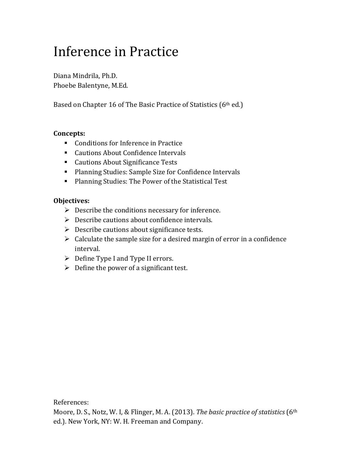# Inference in Practice

Diana Mindrila, Ph.D. Phoebe Balentyne, M.Ed.

Based on Chapter 16 of The Basic Practice of Statistics (6th ed.)

#### **Concepts:**

- Conditions for Inference in Practice
- Cautions About Confidence Intervals
- Cautions About Significance Tests
- Planning Studies: Sample Size for Confidence Intervals
- Planning Studies: The Power of the Statistical Test

# **Objectives:**

- $\triangleright$  Describe the conditions necessary for inference.
- $\triangleright$  Describe cautions about confidence intervals.
- $\triangleright$  Describe cautions about significance tests.
- $\triangleright$  Calculate the sample size for a desired margin of error in a confidence interval.
- $\triangleright$  Define Type I and Type II errors.
- $\triangleright$  Define the power of a significant test.

References:

Moore, D. S., Notz, W. I, & Flinger, M. A. (2013). *The basic practice of statistics* (6th ed.). New York, NY: W. H. Freeman and Company.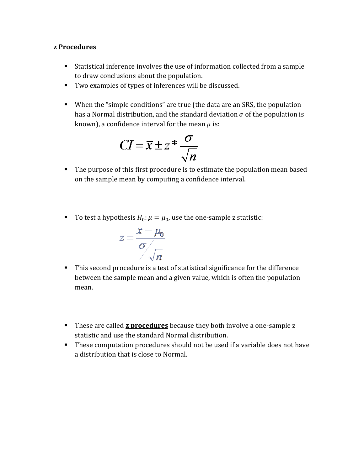#### **z Procedures**

- Statistical inference involves the use of information collected from a sample to draw conclusions about the population.
- Two examples of types of inferences will be discussed.
- When the "simple conditions" are true (the data are an SRS, the population has a Normal distribution, and the standard deviation  $\sigma$  of the population is known), a confidence interval for the mean  $\mu$  is:

$$
CI = \overline{x} \pm z^* \frac{\sigma}{\sqrt{n}}
$$

- The purpose of this first procedure is to estimate the population mean based on the sample mean by computing a confidence interval.
- To test a hypothesis  $H_0: \mu = \mu_0$ , use the one-sample z statistic:

$$
z = \frac{\overline{x} - \mu_0}{\sigma \sqrt{n}}
$$

- This second procedure is a test of statistical significance for the difference between the sample mean and a given value, which is often the population mean.
- **These are called z procedures** because they both involve a one-sample z statistic and use the standard Normal distribution.
- These computation procedures should not be used if a variable does not have a distribution that is close to Normal.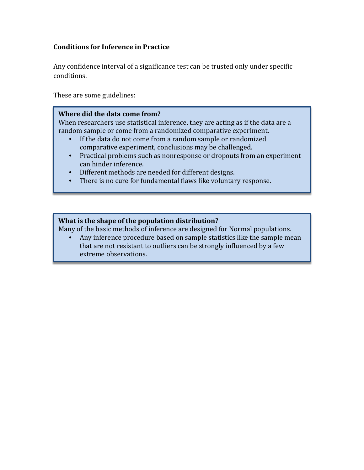# **Conditions for Inference in Practice**

Any confidence interval of a significance test can be trusted only under specific conditions.

These are some guidelines:

#### **Where did the data come from?**

When researchers use statistical inference, they are acting as if the data are a random sample or come from a randomized comparative experiment.<br>• If the data do not come from a random sample or randomized

- If the data do not come from a random sample or randomized comparative experiment, conclusions may be challenged.
- Practical problems such as nonresponse or dropouts from an experiment can hinder inference.
- Different methods are needed for different designs.
- There is no cure for fundamental flaws like voluntary response.

#### **What is the shape of the population distribution?**

Many of the basic methods of inference are designed for Normal populations.

• Any inference procedure based on sample statistics like the sample mean that are not resistant to outliers can be strongly influenced by a few extreme observations.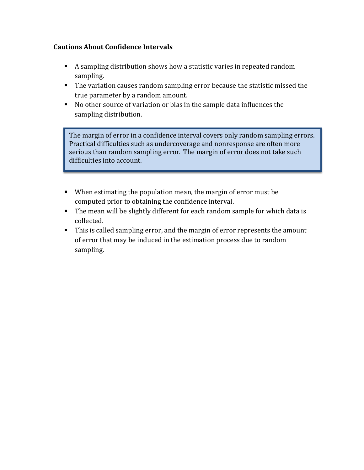# **Cautions About Confidence Intervals**

- A sampling distribution shows how a statistic varies in repeated random sampling.
- The variation causes random sampling error because the statistic missed the true parameter by a random amount.
- No other source of variation or bias in the sample data influences the sampling distribution.

The margin of error in a confidence interval covers only random sampling errors. Practical difficulties such as undercoverage and nonresponse are often more serious than random sampling error. The margin of error does not take such difficulties into account.

- When estimating the population mean, the margin of error must be computed prior to obtaining the confidence interval.
- The mean will be slightly different for each random sample for which data is collected.
- This is called sampling error, and the margin of error represents the amount of error that may be induced in the estimation process due to random sampling.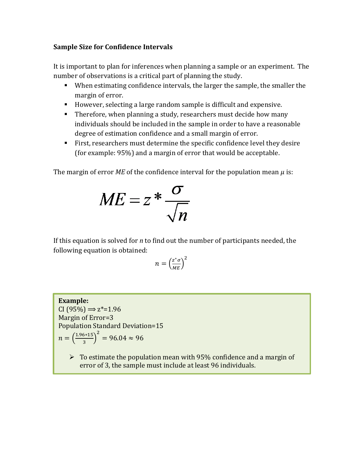## **Sample Size for Confidence Intervals**

It is important to plan for inferences when planning a sample or an experiment. The number of observations is a critical part of planning the study.

- When estimating confidence intervals, the larger the sample, the smaller the margin of error.
- However, selecting a large random sample is difficult and expensive.
- Therefore, when planning a study, researchers must decide how many individuals should be included in the sample in order to have a reasonable degree of estimation confidence and a small margin of error.
- First, researchers must determine the specific confidence level they desire (for example: 95%) and a margin of error that would be acceptable.

The margin of error *ME* of the confidence interval for the population mean  $\mu$  is:

$$
ME = z * \frac{\sigma}{\sqrt{n}}
$$

If this equation is solved for *n* to find out the number of participants needed, the following equation is obtained:

$$
n = \left(\frac{z^*\sigma}{M E}\right)^2
$$

#### **Example:**  $CI (95\%) \Rightarrow z^* = 1.96$ Margin of Error=3 Population Standard Deviation=15  $n = \left(\frac{1.96*15}{3}\right)$ 2  $= 96.04 \approx 96$

 $\triangleright$  To estimate the population mean with 95% confidence and a margin of error of 3, the sample must include at least 96 individuals.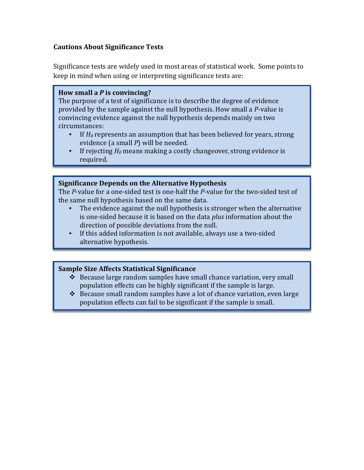# **Cautions About Significance Tests**

Significance tests are widely used in most areas of statistical work. Some points to keep in mind when using or interpreting significance tests are:

#### **How small a** *P* **is convincing?**

The purpose of a test of significance is to describe the degree of evidence provided by the sample against the null hypothesis. How small a *P*-value is convincing evidence against the null hypothesis depends mainly on two circumstances:<br> $\bullet$  If  $H_0$  ren

- If  $H_0$  represents an assumption that has been believed for years, strong evidence (a small *P*) will be needed.
- If rejecting  $H_0$  means making a costly changeover, strong evidence is required.

#### **Significance Depends on the Alternative Hypothesis**

The *P*-value for a one-sided test is one-half the *P*-value for the two-sided test of the same null hypothesis based on the same data.

- The evidence against the null hypothesis is stronger when the alternative is one-sided because it is based on the data *plus* information about the direction of possible deviations from the null.
- If this added information is not available, always use a two-sided alternative hypothesis.

#### **Sample Size Affects Statistical Significance**

- $\div$  Because large random samples have small chance variation, very small population effects can be highly significant if the sample is large.
- $\triangleleft$  Because small random samples have a lot of chance variation, even large population effects can fail to be significant if the sample is small.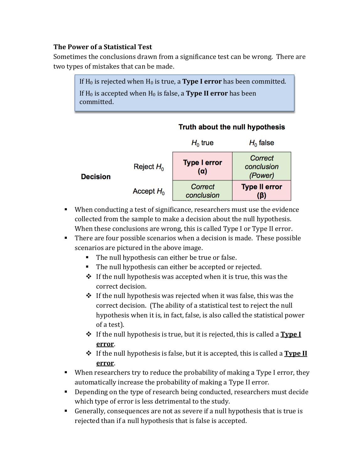# **The Power of a Statistical Test**

Sometimes the conclusions drawn from a significance test can be wrong. There are two types of mistakes that can be made.

> If  $H_0$  is rejected when  $H_0$  is true, a **Type I error** has been committed. If H0 is accepted when H0 is false, a **Type II error** has been committed.

|                 |              | $H_0$ true                        | $H_0$ false                      |
|-----------------|--------------|-----------------------------------|----------------------------------|
| <b>Decision</b> | Reject $H_0$ | <b>Type I error</b><br>$(\alpha)$ | Correct<br>conclusion<br>(Power) |
|                 | Accept $H_0$ | Correct<br>conclusion             | <b>Type II error</b><br>(ß)      |

# Truth about the null hypothesis

- When conducting a test of significance, researchers must use the evidence collected from the sample to make a decision about the null hypothesis. When these conclusions are wrong, this is called Type I or Type II error.
- There are four possible scenarios when a decision is made. These possible scenarios are pictured in the above image.
	- The null hypothesis can either be true or false.
	- The null hypothesis can either be accepted or rejected.
	- $\cdot \cdot$  If the null hypothesis was accepted when it is true, this was the correct decision.
	- $\div$  If the null hypothesis was rejected when it was false, this was the correct decision. (The ability of a statistical test to reject the null hypothesis when it is, in fact, false, is also called the statistical power of a test).
	- If the null hypothesis is true, but it is rejected, this is called a **Type I error**.
	- If the null hypothesis is false, but it is accepted, this is called a **Type II error**.
- When researchers try to reduce the probability of making a Type I error, they automatically increase the probability of making a Type II error.
- Depending on the type of research being conducted, researchers must decide which type of error is less detrimental to the study.
- Generally, consequences are not as severe if a null hypothesis that is true is rejected than if a null hypothesis that is false is accepted.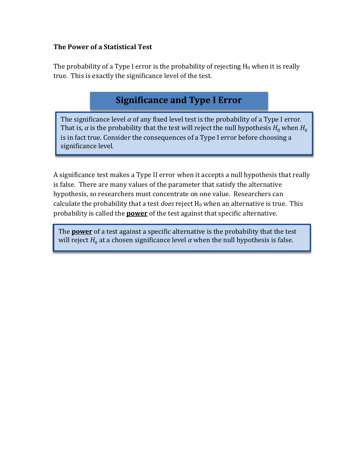# **The Power of a Statistical Test**

The probability of a Type I error is the probability of rejecting  $H_0$  when it is really true. This is exactly the significance level of the test.

# **Significance and Type I Error**

The significance level  $\alpha$  of any fixed level test is the probability of a Type I error. That is,  $\alpha$  is the probability that the test will reject the null hypothesis  $H_0$  when  $H_0$ is in fact true. Consider the consequences of a Type I error before choosing a significance level.

A significance test makes a Type II error when it accepts a null hypothesis that really is false. There are many values of the parameter that satisfy the alternative hypothesis, so researchers must concentrate on one value. Researchers can calculate the probability that a test *does* reject  $H_0$  when an alternative is true. This probability is called the **power** of the test against that specific alternative.

The **power** of a test against a specific alternative is the probability that the test will reject  $H_0$  at a chosen significance level  $\alpha$  when the null hypothesis is false.